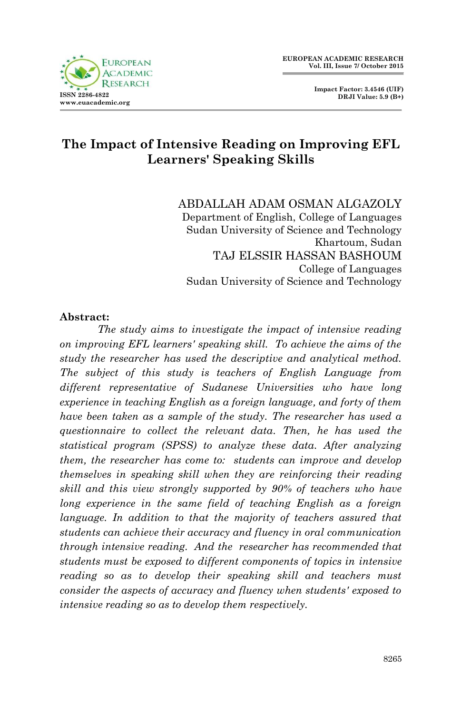

 **Impact Factor: 3.4546 (UIF) DRJI Value: 5.9 (B+)**

# **The Impact of Intensive Reading on Improving EFL Learners' Speaking Skills**

ABDALLAH ADAM OSMAN ALGAZOLY Department of English, College of Languages Sudan University of Science and Technology Khartoum, Sudan TAJ ELSSIR HASSAN BASHOUM College of Languages Sudan University of Science and Technology

#### **Abstract:**

*The study aims to investigate the impact of intensive reading on improving EFL learners' speaking skill. To achieve the aims of the study the researcher has used the descriptive and analytical method. The subject of this study is teachers of English Language from different representative of Sudanese Universities who have long experience in teaching English as a foreign language, and forty of them have been taken as a sample of the study. The researcher has used a questionnaire to collect the relevant data. Then, he has used the statistical program (SPSS) to analyze these data. After analyzing them, the researcher has come to: students can improve and develop themselves in speaking skill when they are reinforcing their reading skill and this view strongly supported by 90% of teachers who have long experience in the same field of teaching English as a foreign language. In addition to that the majority of teachers assured that students can achieve their accuracy and fluency in oral communication through intensive reading. And the researcher has recommended that students must be exposed to different components of topics in intensive reading so as to develop their speaking skill and teachers must consider the aspects of accuracy and fluency when students' exposed to intensive reading so as to develop them respectively.*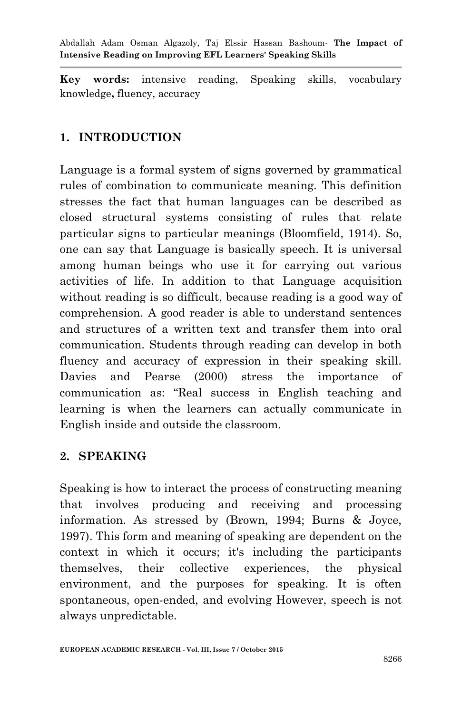**Key words:** intensive reading, Speaking skills, vocabulary knowledge**,** fluency, accuracy

# **1. INTRODUCTION**

Language is a formal system of signs governed by grammatical rules of combination to communicate meaning. This definition stresses the fact that human languages can be described as closed structural systems consisting of rules that relate particular signs to particular meanings (Bloomfield, 1914). So, one can say that Language is basically speech. It is universal among human beings who use it for carrying out various activities of life. In addition to that Language acquisition without reading is so difficult, because reading is a good way of comprehension. A good reader is able to understand sentences and structures of a written text and transfer them into oral communication. Students through reading can develop in both fluency and accuracy of expression in their speaking skill. Davies and Pearse (2000) stress the importance of communication as: "Real success in English teaching and learning is when the learners can actually communicate in English inside and outside the classroom.

## **2. SPEAKING**

Speaking is how to interact the process of constructing meaning that involves producing and receiving and processing information. As stressed by (Brown, 1994; Burns & Joyce, 1997). This form and meaning of speaking are dependent on the context in which it occurs; it's including the participants themselves, their collective experiences, the physical environment, and the purposes for speaking. It is often spontaneous, open-ended, and evolving However, speech is not always unpredictable.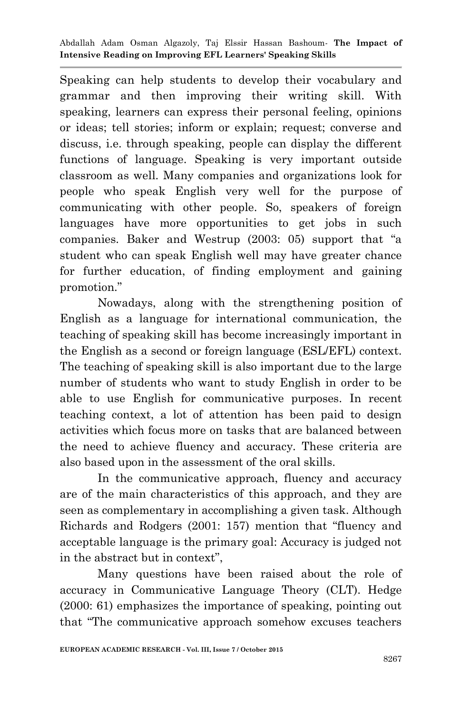Speaking can help students to develop their vocabulary and grammar and then improving their writing skill. With speaking, learners can express their personal feeling, opinions or ideas; tell stories; inform or explain; request; converse and discuss, i.e. through speaking, people can display the different functions of language. Speaking is very important outside classroom as well. Many companies and organizations look for people who speak English very well for the purpose of communicating with other people. So, speakers of foreign languages have more opportunities to get jobs in such companies. Baker and Westrup (2003: 05) support that "a student who can speak English well may have greater chance for further education, of finding employment and gaining promotion."

Nowadays, along with the strengthening position of English as a language for international communication, the teaching of speaking skill has become increasingly important in the English as a second or foreign language (ESL/EFL) context. The teaching of speaking skill is also important due to the large number of students who want to study English in order to be able to use English for communicative purposes. In recent teaching context, a lot of attention has been paid to design activities which focus more on tasks that are balanced between the need to achieve fluency and accuracy. These criteria are also based upon in the assessment of the oral skills.

In the communicative approach, fluency and accuracy are of the main characteristics of this approach, and they are seen as complementary in accomplishing a given task. Although Richards and Rodgers (2001: 157) mention that "fluency and acceptable language is the primary goal: Accuracy is judged not in the abstract but in context",

Many questions have been raised about the role of accuracy in Communicative Language Theory (CLT). Hedge (2000: 61) emphasizes the importance of speaking, pointing out that "The communicative approach somehow excuses teachers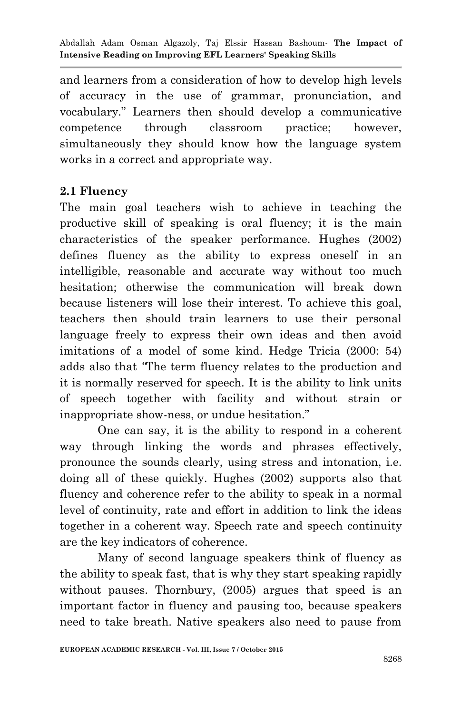and learners from a consideration of how to develop high levels of accuracy in the use of grammar, pronunciation, and vocabulary." Learners then should develop a communicative competence through classroom practice; however, simultaneously they should know how the language system works in a correct and appropriate way.

### **2.1 Fluency**

The main goal teachers wish to achieve in teaching the productive skill of speaking is oral fluency; it is the main characteristics of the speaker performance. Hughes (2002) defines fluency as the ability to express oneself in an intelligible, reasonable and accurate way without too much hesitation; otherwise the communication will break down because listeners will lose their interest. To achieve this goal, teachers then should train learners to use their personal language freely to express their own ideas and then avoid imitations of a model of some kind. Hedge Tricia (2000: 54) adds also that *"*The term fluency relates to the production and it is normally reserved for speech. It is the ability to link units of speech together with facility and without strain or inappropriate show-ness, or undue hesitation."

One can say, it is the ability to respond in a coherent way through linking the words and phrases effectively, pronounce the sounds clearly, using stress and intonation, i.e. doing all of these quickly. Hughes (2002) supports also that fluency and coherence refer to the ability to speak in a normal level of continuity, rate and effort in addition to link the ideas together in a coherent way. Speech rate and speech continuity are the key indicators of coherence.

Many of second language speakers think of fluency as the ability to speak fast, that is why they start speaking rapidly without pauses. Thornbury, (2005) argues that speed is an important factor in fluency and pausing too, because speakers need to take breath. Native speakers also need to pause from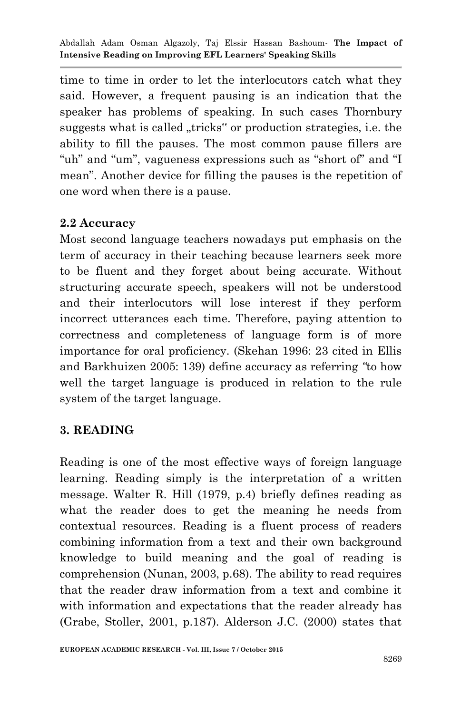time to time in order to let the interlocutors catch what they said. However, a frequent pausing is an indication that the speaker has problems of speaking. In such cases Thornbury suggests what is called "tricks" or production strategies, i.e. the ability to fill the pauses. The most common pause fillers are "uh" and "um", vagueness expressions such as "short of" and "I mean". Another device for filling the pauses is the repetition of one word when there is a pause.

#### **2.2 Accuracy**

Most second language teachers nowadays put emphasis on the term of accuracy in their teaching because learners seek more to be fluent and they forget about being accurate. Without structuring accurate speech, speakers will not be understood and their interlocutors will lose interest if they perform incorrect utterances each time. Therefore, paying attention to correctness and completeness of language form is of more importance for oral proficiency. (Skehan 1996: 23 cited in Ellis and Barkhuizen 2005: 139) define accuracy as referring *"*to how well the target language is produced in relation to the rule system of the target language.

### **3. READING**

Reading is one of the most effective ways of foreign language learning. Reading simply is the interpretation of a written message. Walter R. Hill (1979, p.4) briefly defines reading as what the reader does to get the meaning he needs from contextual resources. Reading is a fluent process of readers combining information from a text and their own background knowledge to build meaning and the goal of reading is comprehension (Nunan, 2003, p.68). The ability to read requires that the reader draw information from a text and combine it with information and expectations that the reader already has (Grabe, Stoller, 2001, p.187). Alderson J.C. (2000) states that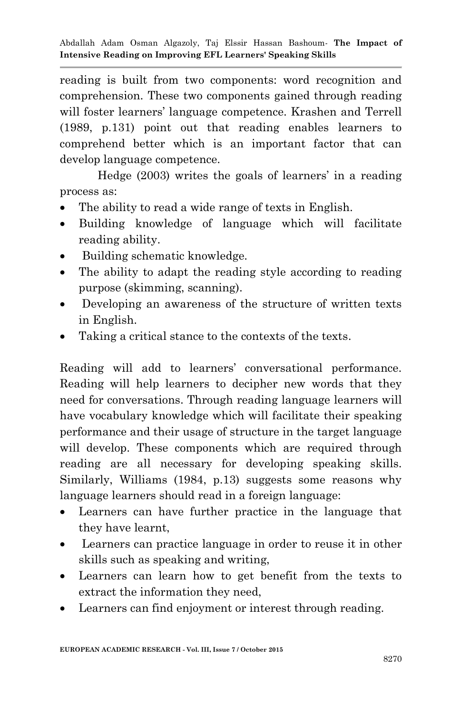reading is built from two components: word recognition and comprehension. These two components gained through reading will foster learners' language competence. Krashen and Terrell (1989, p.131) point out that reading enables learners to comprehend better which is an important factor that can develop language competence.

Hedge (2003) writes the goals of learners" in a reading process as:

- The ability to read a wide range of texts in English.
- Building knowledge of language which will facilitate reading ability.
- Building schematic knowledge.
- The ability to adapt the reading style according to reading purpose (skimming, scanning).
- Developing an awareness of the structure of written texts in English.
- Taking a critical stance to the contexts of the texts.

Reading will add to learners' conversational performance. Reading will help learners to decipher new words that they need for conversations. Through reading language learners will have vocabulary knowledge which will facilitate their speaking performance and their usage of structure in the target language will develop. These components which are required through reading are all necessary for developing speaking skills. Similarly, Williams (1984, p.13) suggests some reasons why language learners should read in a foreign language:

- Learners can have further practice in the language that they have learnt,
- Learners can practice language in order to reuse it in other skills such as speaking and writing,
- Learners can learn how to get benefit from the texts to extract the information they need,
- Learners can find enjoyment or interest through reading.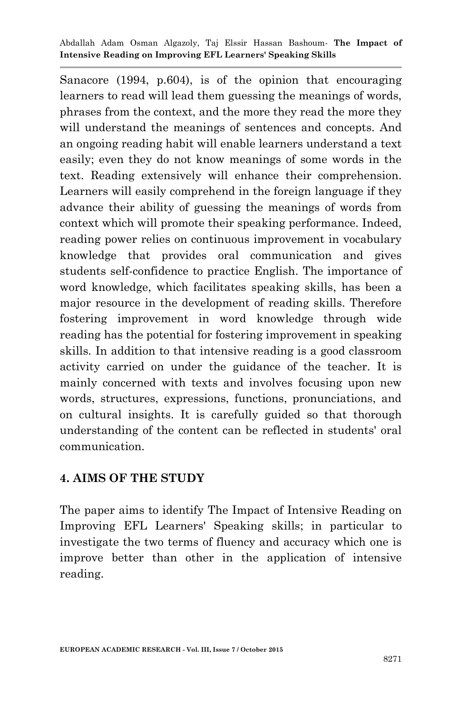Sanacore (1994, p.604), is of the opinion that encouraging learners to read will lead them guessing the meanings of words, phrases from the context, and the more they read the more they will understand the meanings of sentences and concepts. And an ongoing reading habit will enable learners understand a text easily; even they do not know meanings of some words in the text. Reading extensively will enhance their comprehension. Learners will easily comprehend in the foreign language if they advance their ability of guessing the meanings of words from context which will promote their speaking performance. Indeed, reading power relies on continuous improvement in vocabulary knowledge that provides oral communication and gives students self-confidence to practice English. The importance of word knowledge, which facilitates speaking skills, has been a major resource in the development of reading skills. Therefore fostering improvement in word knowledge through wide reading has the potential for fostering improvement in speaking skills. In addition to that intensive reading is a good classroom activity carried on under the guidance of the teacher. It is mainly concerned with texts and involves focusing upon new words, structures, expressions, functions, pronunciations, and on cultural insights. It is carefully guided so that thorough understanding of the content can be reflected in students' oral communication.

#### **4. AIMS OF THE STUDY**

The paper aims to identify The Impact of Intensive Reading on Improving EFL Learners' Speaking skills; in particular to investigate the two terms of fluency and accuracy which one is improve better than other in the application of intensive reading.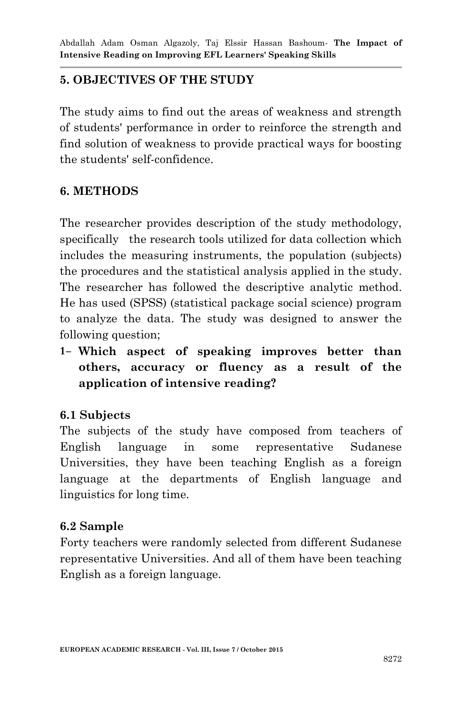# **5. OBJECTIVES OF THE STUDY**

The study aims to find out the areas of weakness and strength of students' performance in order to reinforce the strength and find solution of weakness to provide practical ways for boosting the students' self-confidence.

## **6. METHODS**

The researcher provides description of the study methodology, specifically the research tools utilized for data collection which includes the measuring instruments, the population (subjects) the procedures and the statistical analysis applied in the study. The researcher has followed the descriptive analytic method. He has used (SPSS) (statistical package social science) program to analyze the data. The study was designed to answer the following question;

**1- Which aspect of speaking improves better than others, accuracy or fluency as a result of the application of intensive reading?**

## **6.1 Subjects**

The subjects of the study have composed from teachers of English language in some representative Sudanese Universities, they have been teaching English as a foreign language at the departments of English language and linguistics for long time.

### **6.2 Sample**

Forty teachers were randomly selected from different Sudanese representative Universities. And all of them have been teaching English as a foreign language.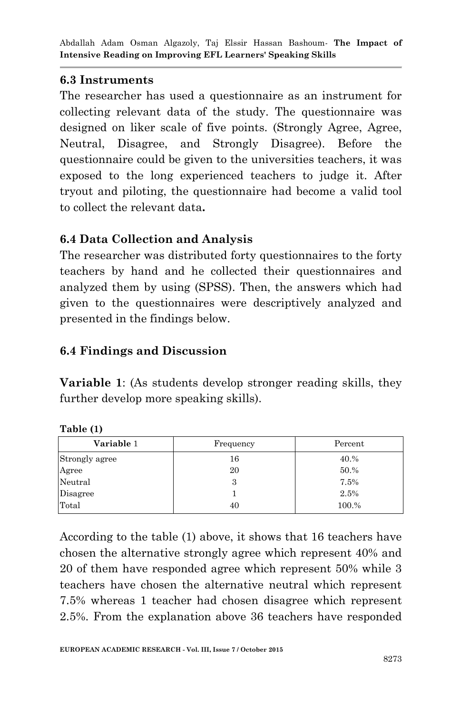### **6.3 Instruments**

The researcher has used a questionnaire as an instrument for collecting relevant data of the study. The questionnaire was designed on liker scale of five points. (Strongly Agree, Agree, Neutral, Disagree, and Strongly Disagree). Before the questionnaire could be given to the universities teachers, it was exposed to the long experienced teachers to judge it. After tryout and piloting, the questionnaire had become a valid tool to collect the relevant data**.**

## **6.4 Data Collection and Analysis**

The researcher was distributed forty questionnaires to the forty teachers by hand and he collected their questionnaires and analyzed them by using (SPSS). Then, the answers which had given to the questionnaires were descriptively analyzed and presented in the findings below.

# **6.4 Findings and Discussion**

**Variable 1**: (As students develop stronger reading skills, they further develop more speaking skills).

| Variable 1     | Frequency | Percent |
|----------------|-----------|---------|
| Strongly agree | 16        | 40.%    |
| Agree          | 20        | 50.%    |
| Neutral        | 3         | 7.5%    |
| Disagree       |           | 2.5%    |
| Total          | 40        | 100.%   |

**Table (1)**

According to the table (1) above, it shows that 16 teachers have chosen the alternative strongly agree which represent 40% and 20 of them have responded agree which represent 50% while 3 teachers have chosen the alternative neutral which represent 7.5% whereas 1 teacher had chosen disagree which represent 2.5%. From the explanation above 36 teachers have responded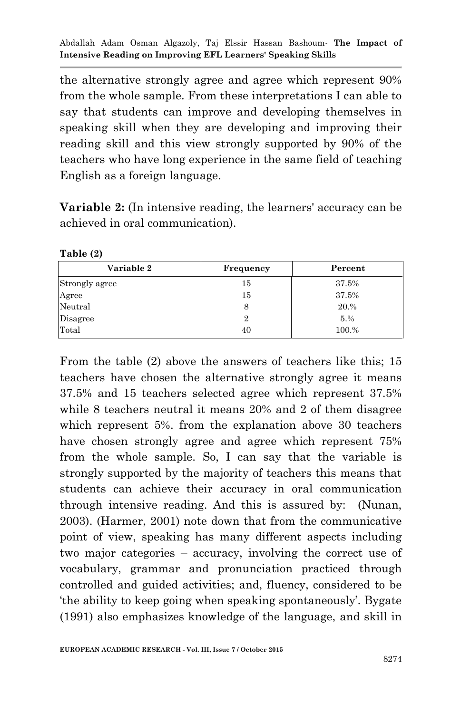the alternative strongly agree and agree which represent 90% from the whole sample. From these interpretations I can able to say that students can improve and developing themselves in speaking skill when they are developing and improving their reading skill and this view strongly supported by 90% of the teachers who have long experience in the same field of teaching English as a foreign language.

**Variable 2:** (In intensive reading, the learners' accuracy can be achieved in oral communication).

| $100101 -$     |           |         |
|----------------|-----------|---------|
| Variable 2     | Frequency | Percent |
| Strongly agree | 15        | 37.5%   |
| Agree          | 15        | 37.5%   |
| Neutral        | 8         | 20.%    |
| Disagree       | 2         | 5.%     |
| Total          | 40        | 100.%   |

**Table (2)**

From the table (2) above the answers of teachers like this; 15 teachers have chosen the alternative strongly agree it means 37.5% and 15 teachers selected agree which represent 37.5% while 8 teachers neutral it means 20% and 2 of them disagree which represent 5%. from the explanation above 30 teachers have chosen strongly agree and agree which represent 75% from the whole sample. So, I can say that the variable is strongly supported by the majority of teachers this means that students can achieve their accuracy in oral communication through intensive reading. And this is assured by: (Nunan, 2003). (Harmer, 2001) note down that from the communicative point of view, speaking has many different aspects including two major categories – accuracy, involving the correct use of vocabulary, grammar and pronunciation practiced through controlled and guided activities; and, fluency, considered to be "the ability to keep going when speaking spontaneously". Bygate (1991) also emphasizes knowledge of the language, and skill in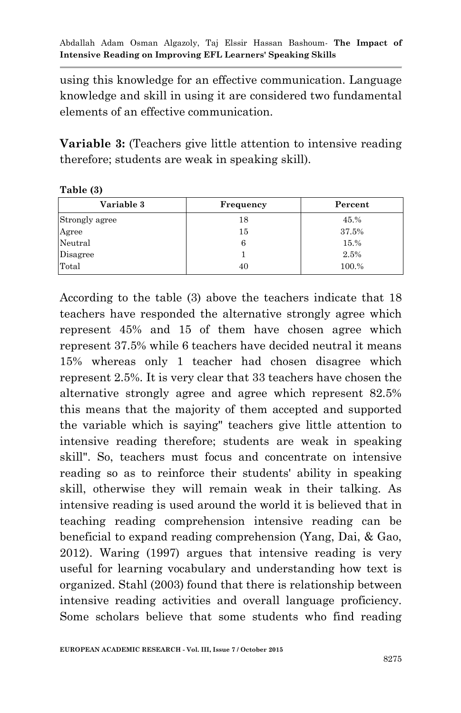using this knowledge for an effective communication. Language knowledge and skill in using it are considered two fundamental elements of an effective communication.

**Variable 3:** (Teachers give little attention to intensive reading therefore; students are weak in speaking skill).

**Table (3)**

| Variable 3     | Frequency | Percent |
|----------------|-----------|---------|
| Strongly agree | 18        | 45.%    |
| Agree          | 15        | 37.5%   |
| Neutral        | 6         | 15.%    |
| Disagree       |           | 2.5%    |
| Total          | 40        | 100.%   |

According to the table (3) above the teachers indicate that 18 teachers have responded the alternative strongly agree which represent 45% and 15 of them have chosen agree which represent 37.5% while 6 teachers have decided neutral it means 15% whereas only 1 teacher had chosen disagree which represent 2.5%. It is very clear that 33 teachers have chosen the alternative strongly agree and agree which represent 82.5% this means that the majority of them accepted and supported the variable which is saying" teachers give little attention to intensive reading therefore; students are weak in speaking skill". So, teachers must focus and concentrate on intensive reading so as to reinforce their students' ability in speaking skill, otherwise they will remain weak in their talking. As intensive reading is used around the world it is believed that in teaching reading comprehension intensive reading can be beneficial to expand reading comprehension (Yang, Dai, & Gao, 2012). Waring (1997) argues that intensive reading is very useful for learning vocabulary and understanding how text is organized. Stahl (2003) found that there is relationship between intensive reading activities and overall language proficiency. Some scholars believe that some students who find reading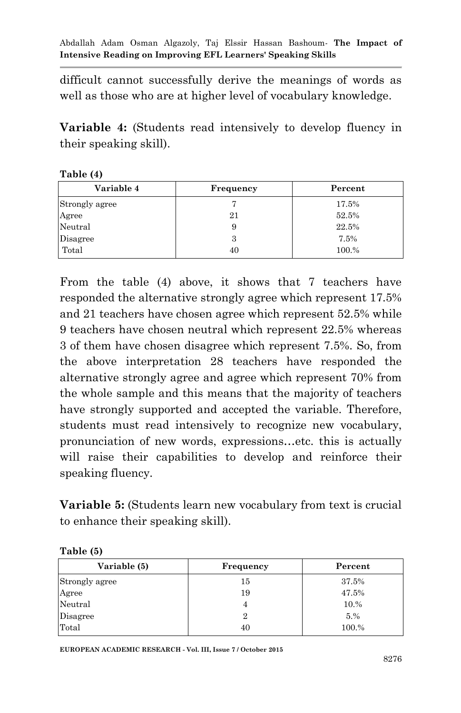difficult cannot successfully derive the meanings of words as well as those who are at higher level of vocabulary knowledge.

**Variable 4:** (Students read intensively to develop fluency in their speaking skill).

| Table (4)      |           |         |  |
|----------------|-----------|---------|--|
| Variable 4     | Frequency | Percent |  |
| Strongly agree |           | 17.5%   |  |
| Agree          | 21        | 52.5%   |  |
| Neutral        | 9         | 22.5%   |  |
| Disagree       | 3         | 7.5%    |  |
| Total          | 40        | 100.%   |  |

From the table (4) above, it shows that 7 teachers have responded the alternative strongly agree which represent 17.5% and 21 teachers have chosen agree which represent 52.5% while 9 teachers have chosen neutral which represent 22.5% whereas 3 of them have chosen disagree which represent 7.5%. So, from the above interpretation 28 teachers have responded the alternative strongly agree and agree which represent 70% from the whole sample and this means that the majority of teachers have strongly supported and accepted the variable. Therefore, students must read intensively to recognize new vocabulary, pronunciation of new words, expressions…etc. this is actually will raise their capabilities to develop and reinforce their speaking fluency.

**Variable 5:** (Students learn new vocabulary from text is crucial to enhance their speaking skill).

| Frequency | Percent |  |
|-----------|---------|--|
| 15        | 37.5%   |  |
| 19        | 47.5%   |  |
|           | 10.%    |  |
| 2         | 5.%     |  |
| 40        | 100.%   |  |
|           |         |  |

| Table (5) |  |
|-----------|--|
|-----------|--|

**EUROPEAN ACADEMIC RESEARCH - Vol. III, Issue 7 / October 2015**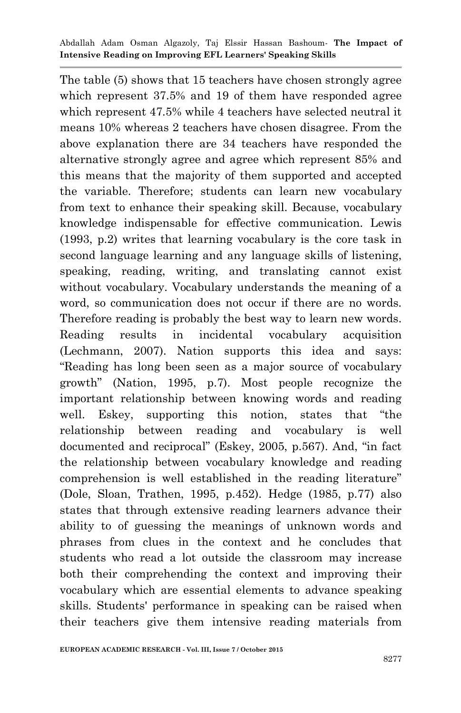The table (5) shows that 15 teachers have chosen strongly agree which represent 37.5% and 19 of them have responded agree which represent 47.5% while 4 teachers have selected neutral it means 10% whereas 2 teachers have chosen disagree. From the above explanation there are 34 teachers have responded the alternative strongly agree and agree which represent 85% and this means that the majority of them supported and accepted the variable. Therefore; students can learn new vocabulary from text to enhance their speaking skill. Because, vocabulary knowledge indispensable for effective communication. Lewis (1993, p.2) writes that learning vocabulary is the core task in second language learning and any language skills of listening, speaking, reading, writing, and translating cannot exist without vocabulary. Vocabulary understands the meaning of a word, so communication does not occur if there are no words. Therefore reading is probably the best way to learn new words. Reading results in incidental vocabulary acquisition (Lechmann, 2007). Nation supports this idea and says: "Reading has long been seen as a major source of vocabulary growth" (Nation, 1995, p.7). Most people recognize the important relationship between knowing words and reading well. Eskey, supporting this notion, states that "the relationship between reading and vocabulary is well documented and reciprocal" (Eskey, 2005, p.567). And, "in fact the relationship between vocabulary knowledge and reading comprehension is well established in the reading literature" (Dole, Sloan, Trathen, 1995, p.452). Hedge (1985, p.77) also states that through extensive reading learners advance their ability to of guessing the meanings of unknown words and phrases from clues in the context and he concludes that students who read a lot outside the classroom may increase both their comprehending the context and improving their vocabulary which are essential elements to advance speaking skills. Students' performance in speaking can be raised when their teachers give them intensive reading materials from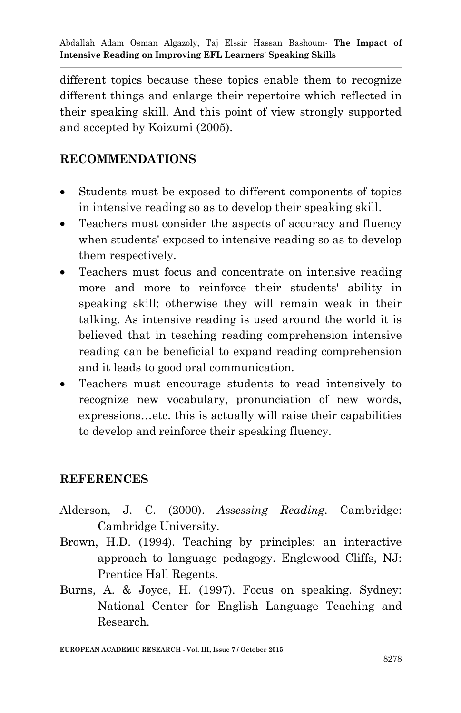different topics because these topics enable them to recognize different things and enlarge their repertoire which reflected in their speaking skill. And this point of view strongly supported and accepted by Koizumi (2005).

### **RECOMMENDATIONS**

- Students must be exposed to different components of topics in intensive reading so as to develop their speaking skill.
- Teachers must consider the aspects of accuracy and fluency when students' exposed to intensive reading so as to develop them respectively.
- Teachers must focus and concentrate on intensive reading more and more to reinforce their students' ability in speaking skill; otherwise they will remain weak in their talking. As intensive reading is used around the world it is believed that in teaching reading comprehension intensive reading can be beneficial to expand reading comprehension and it leads to good oral communication.
- Teachers must encourage students to read intensively to recognize new vocabulary, pronunciation of new words, expressions…etc. this is actually will raise their capabilities to develop and reinforce their speaking fluency.

### **REFERENCES**

- Alderson, J. C. (2000). *Assessing Reading*. Cambridge: Cambridge University.
- Brown, H.D. (1994). Teaching by principles: an interactive approach to language pedagogy. Englewood Cliffs, NJ: Prentice Hall Regents.
- Burns, A. & Joyce, H. (1997). Focus on speaking. Sydney: National Center for English Language Teaching and Research.